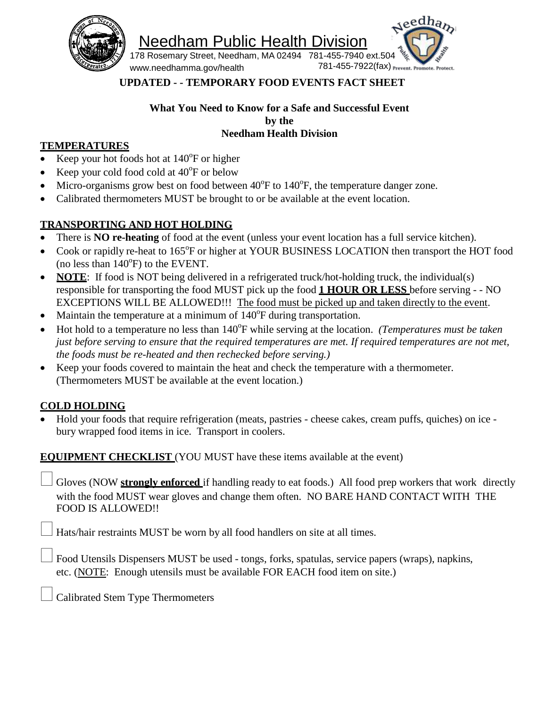

Needham Public Health Division



[www.needhamma.gov/health](http://www.needhamma.gov/health)

## **UPDATED - - TEMPORARY FOOD EVENTS FACT SHEET**

### **What You Need to Know for a Safe and Successful Event by the Needham Health Division**

### **TEMPERATURES**

- Exequence Keep your hot foods hot at  $140^{\circ}$ F or higher
- Exerc<br/>your cold food cold at  $40^{\circ}$ F or below
- Micro-organisms grow best on food between  $40^{\circ}$ F to  $140^{\circ}$ F, the temperature danger zone.
- Calibrated thermometers MUST be brought to or be available at the event location.

# **TRANSPORTING AND HOT HOLDING**

- There is **NO re-heating** of food at the event (unless your event location has a full service kitchen).
- Cook or rapidly re-heat to 165°F or higher at YOUR BUSINESS LOCATION then transport the HOT food (no less than  $140^{\circ}$ F) to the EVENT.
- **NOTE:** If food is NOT being delivered in a refrigerated truck/hot-holding truck, the individual(s) responsible for transporting the food MUST pick up the food **1 HOUR OR LESS** before serving - - NO EXCEPTIONS WILL BE ALLOWED!!! The food must be picked up and taken directly to the event.
- Maintain the temperature at a minimum of  $140^{\circ}$ F during transportation.
- Hot hold to a temperature no less than 140°F while serving at the location. *(Temperatures must be taken*) *just before serving to ensure that the required temperatures are met. If required temperatures are not met, the foods must be re-heated and then rechecked before serving.)*
- Keep your foods covered to maintain the heat and check the temperature with a thermometer. (Thermometers MUST be available at the event location.)

## **COLD HOLDING**

• Hold your foods that require refrigeration (meats, pastries - cheese cakes, cream puffs, quiches) on ice bury wrapped food items in ice. Transport in coolers.

**EQUIPMENT CHECKLIST** (YOU MUST have these items available at the event)

 Gloves (NOW **strongly enforced** if handling ready to eat foods.) All food prep workers that work directly with the food MUST wear gloves and change them often. NO BARE HAND CONTACT WITH THE FOOD IS ALLOWED!!

Hats/hair restraints MUST be worn by all food handlers on site at all times.

Food Utensils Dispensers MUST be used - tongs, forks, spatulas, service papers (wraps), napkins, etc. (NOTE: Enough utensils must be available FOR EACH food item on site.)

Calibrated Stem Type Thermometers